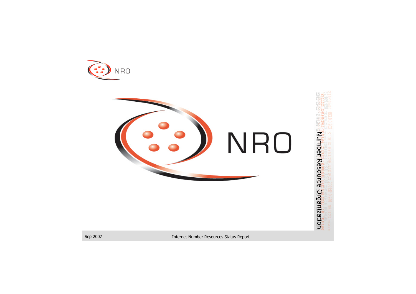



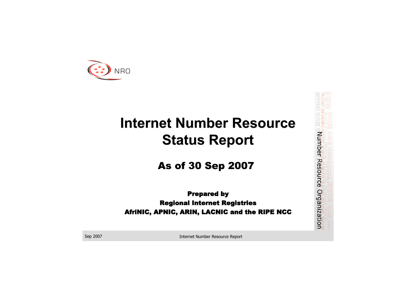



## **Internet Number Resource Internet Number Resource Status Report Status Report**

#### **As of 30 Sep 2007**

#### **Prepared by Regional Internet Registries** AfriNIC, APNIC, ARIN, LACNIC and the RIPE NCC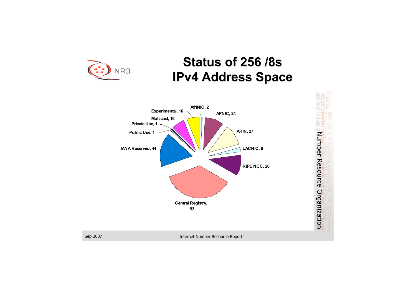



### **Status of 256 /8s IPv4 Address Space IPv4 Address Space**



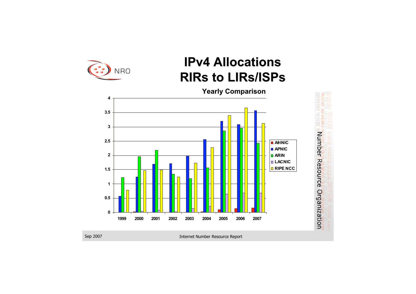



### **IPv4 Allocations IPv4 Allocations RIRs to LIRs/ISPs**

**Yearly Comparison Yearly Comparison**

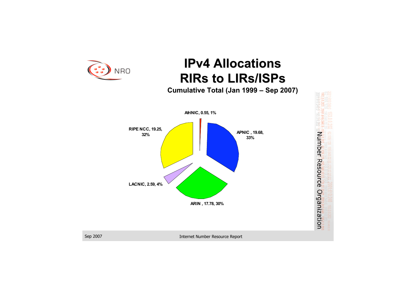

Sep 2007 Internet Number Resource Report





### **IPv4 Allocations IPv4 Allocations RIRs to LIRs/ISPs**

**Cumulative Total (Jan 1999 – Sep 2007)** 

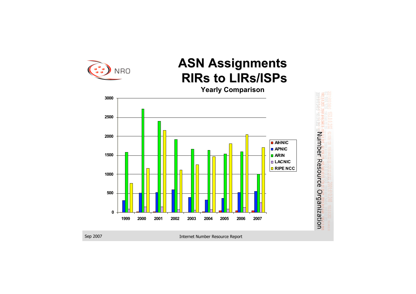



### **ASN Assignments ASN Assignments RIRs to LIRs/ISPs**

**Yearly Comparison Yearly Comparison**

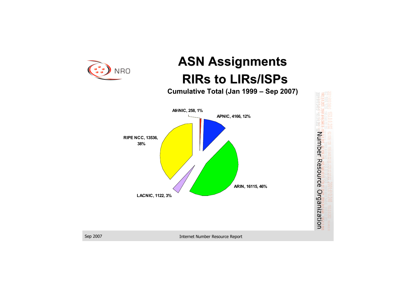



### **ASN Assignments ASN Assignments RIRs to LIRs/ISPs**

**Cumulative Total (Jan 1999 – Sep 2007)** 



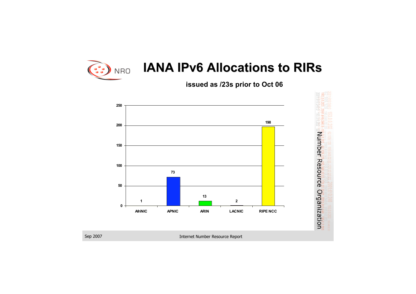

### **IANA IPv6 Allocations to RIRs**

Sep 2007 Internet Number Resource Report



**issued as /23s prior to Oct 06**

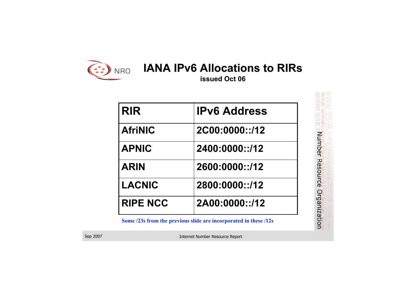

#### **IANA IPv6 Allocations to RIRs**

Sep 2007 Internet Number Resource Report



**issued Oct 06 issued Oct 06**

| <b>RIR</b>      | <b>IPv6 Address</b> |
|-----------------|---------------------|
| <b>AfriNIC</b>  | 2C00:0000::/12      |
| <b>APNIC</b>    | 2400:0000::/12      |
| <b>ARIN</b>     | 2600:0000::/12      |
| LACNIC          | 2800:0000::/12      |
| <b>RIPE NCC</b> | 2A00:0000::/12      |

**Some /23s from the previous slide are incorporated in these /12s**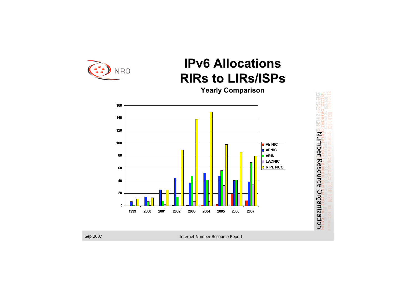



### **IPv6 Allocations IPv6 Allocations RIRs to LIRs/ISPs**

**Yearly Comparison Yearly Comparison**

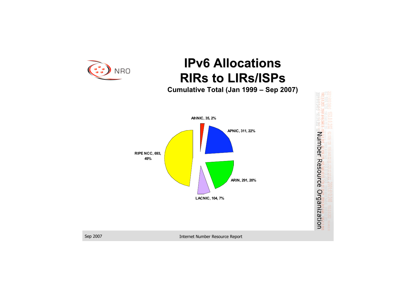

Sep 2007 Internet Number Resource Report





### **IPv6 Allocations IPv6 Allocations RIRs to LIRs/ISPs**

**Cumulative Total (Jan 1999 – Sep 2007)** 

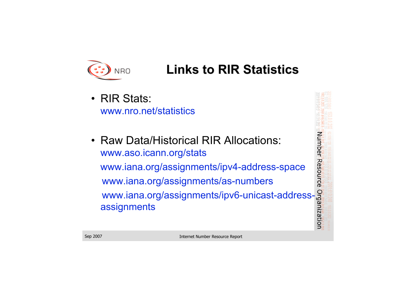



### **Links to RIR Statistics Links to RIR Statistics**

- RIR Stats: www.nro.net/statistics
- Raw Data/Historical RIR Allocations: www.aso.icann.org/stats www.iana.org/assignments/ipv4-address-space www.iana.org/assignments/as-numbers www.iana.org/assignments/ipv6-unicast-addressassignments